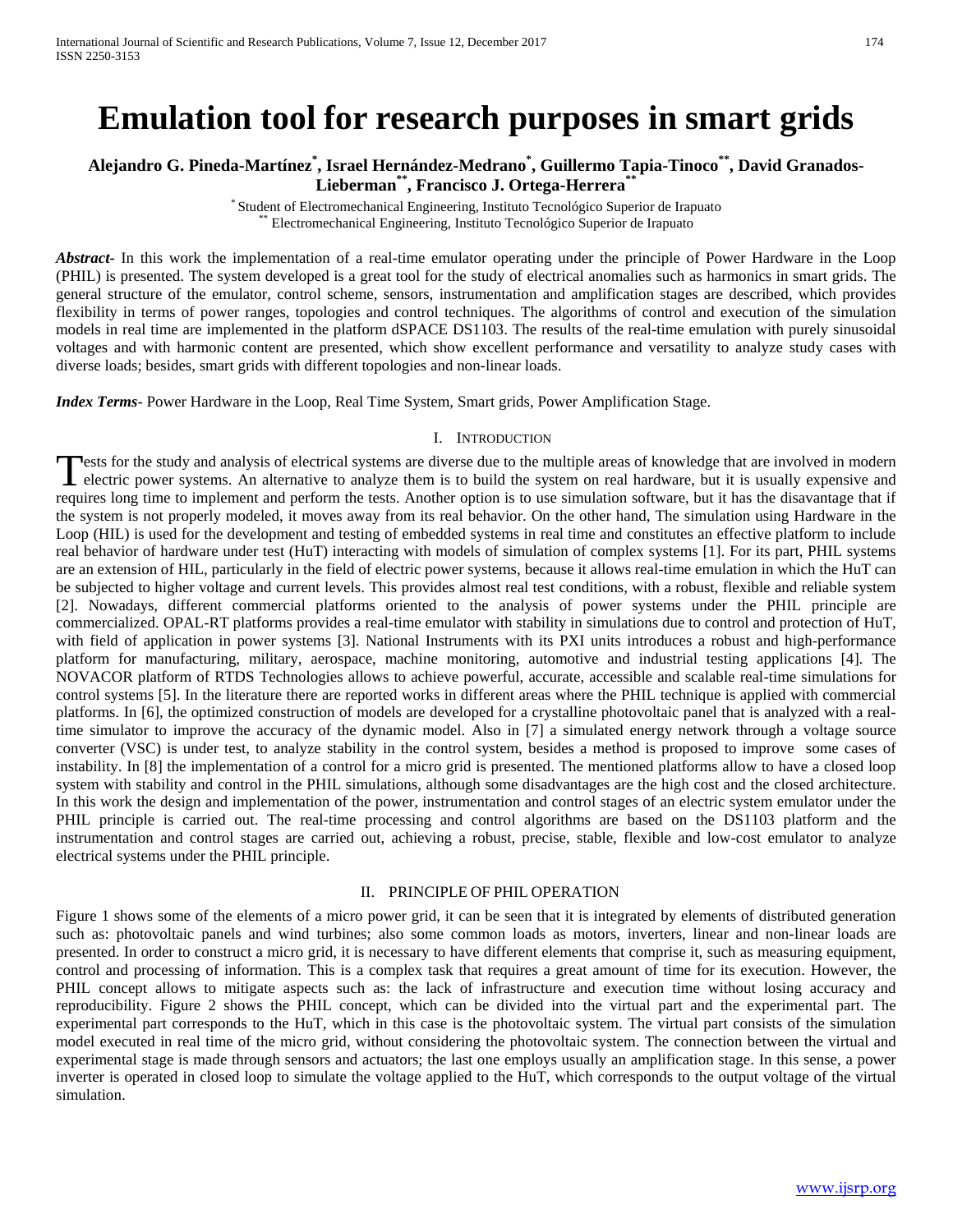# **Emulation tool for research purposes in smart grids**

# **Alejandro G. Pineda-Martínez\* , Israel Hernández-Medrano\* , Guillermo Tapia-Tinoco\*\*, David Granados-Lieberman\*\*, Francisco J. Ortega-Herrera\*\***

\* Student of Electromechanical Engineering, Instituto Tecnológico Superior de Irapuato \*\* Electromechanical Engineering, Instituto Tecnológico Superior de Irapuato

*Abstract***-** In this work the implementation of a real-time emulator operating under the principle of Power Hardware in the Loop (PHIL) is presented. The system developed is a great tool for the study of electrical anomalies such as harmonics in smart grids. The general structure of the emulator, control scheme, sensors, instrumentation and amplification stages are described, which provides flexibility in terms of power ranges, topologies and control techniques. The algorithms of control and execution of the simulation models in real time are implemented in the platform dSPACE DS1103. The results of the real-time emulation with purely sinusoidal voltages and with harmonic content are presented, which show excellent performance and versatility to analyze study cases with diverse loads; besides, smart grids with different topologies and non-linear loads.

*Index Terms*- Power Hardware in the Loop, Real Time System, Smart grids, Power Amplification Stage.

#### I. INTRODUCTION

lests for the study and analysis of electrical systems are diverse due to the multiple areas of knowledge that are involved in modern Tests for the study and analysis of electrical systems are diverse due to the multiple areas of knowledge that are involved in modern electric power systems. An alternative to analyze them is to build the system on real ha requires long time to implement and perform the tests. Another option is to use simulation software, but it has the disavantage that if the system is not properly modeled, it moves away from its real behavior. On the other hand, The simulation using Hardware in the Loop (HIL) is used for the development and testing of embedded systems in real time and constitutes an effective platform to include real behavior of hardware under test (HuT) interacting with models of simulation of complex systems [1]. For its part, PHIL systems are an extension of HIL, particularly in the field of electric power systems, because it allows real-time emulation in which the HuT can be subjected to higher voltage and current levels. This provides almost real test conditions, with a robust, flexible and reliable system [2]. Nowadays, different commercial platforms oriented to the analysis of power systems under the PHIL principle are commercialized. OPAL-RT platforms provides a real-time emulator with stability in simulations due to control and protection of HuT, with field of application in power systems [3]. National Instruments with its PXI units introduces a robust and high-performance platform for manufacturing, military, aerospace, machine monitoring, automotive and industrial testing applications [4]. The NOVACOR platform of RTDS Technologies allows to achieve powerful, accurate, accessible and scalable real-time simulations for control systems [5]. In the literature there are reported works in different areas where the PHIL technique is applied with commercial platforms. In [6], the optimized construction of models are developed for a crystalline photovoltaic panel that is analyzed with a realtime simulator to improve the accuracy of the dynamic model. Also in [7] a simulated energy network through a voltage source converter (VSC) is under test, to analyze stability in the control system, besides a method is proposed to improve some cases of instability. In [8] the implementation of a control for a micro grid is presented. The mentioned platforms allow to have a closed loop system with stability and control in the PHIL simulations, although some disadvantages are the high cost and the closed architecture. In this work the design and implementation of the power, instrumentation and control stages of an electric system emulator under the PHIL principle is carried out. The real-time processing and control algorithms are based on the DS1103 platform and the instrumentation and control stages are carried out, achieving a robust, precise, stable, flexible and low-cost emulator to analyze electrical systems under the PHIL principle.

#### II. PRINCIPLE OF PHIL OPERATION

Figure 1 shows some of the elements of a micro power grid, it can be seen that it is integrated by elements of distributed generation such as: photovoltaic panels and wind turbines; also some common loads as motors, inverters, linear and non-linear loads are presented. In order to construct a micro grid, it is necessary to have different elements that comprise it, such as measuring equipment, control and processing of information. This is a complex task that requires a great amount of time for its execution. However, the PHIL concept allows to mitigate aspects such as: the lack of infrastructure and execution time without losing accuracy and reproducibility. Figure 2 shows the PHIL concept, which can be divided into the virtual part and the experimental part. The experimental part corresponds to the HuT, which in this case is the photovoltaic system. The virtual part consists of the simulation model executed in real time of the micro grid, without considering the photovoltaic system. The connection between the virtual and experimental stage is made through sensors and actuators; the last one employs usually an amplification stage. In this sense, a power inverter is operated in closed loop to simulate the voltage applied to the HuT, which corresponds to the output voltage of the virtual simulation.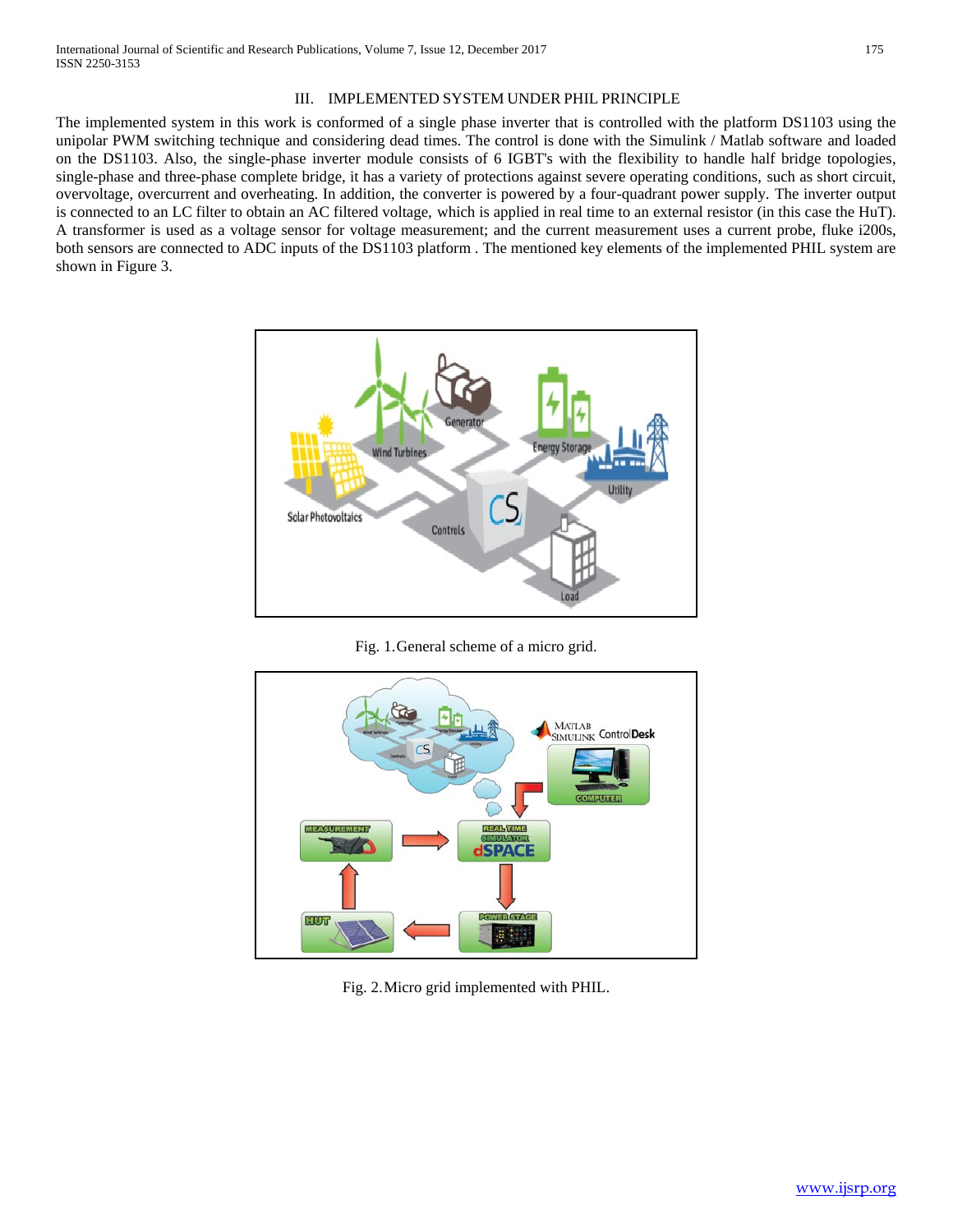#### III. IMPLEMENTED SYSTEM UNDER PHIL PRINCIPLE

The implemented system in this work is conformed of a single phase inverter that is controlled with the platform DS1103 using the unipolar PWM switching technique and considering dead times. The control is done with the Simulink / Matlab software and loaded on the DS1103. Also, the single-phase inverter module consists of 6 IGBT's with the flexibility to handle half bridge topologies, single-phase and three-phase complete bridge, it has a variety of protections against severe operating conditions, such as short circuit, overvoltage, overcurrent and overheating. In addition, the converter is powered by a four-quadrant power supply. The inverter output is connected to an LC filter to obtain an AC filtered voltage, which is applied in real time to an external resistor (in this case the HuT). A transformer is used as a voltage sensor for voltage measurement; and the current measurement uses a current probe, fluke i200s, both sensors are connected to ADC inputs of the DS1103 platform . The mentioned key elements of the implemented PHIL system are shown in Figure 3.



Fig. 1.General scheme of a micro grid.



Fig. 2.Micro grid implemented with PHIL.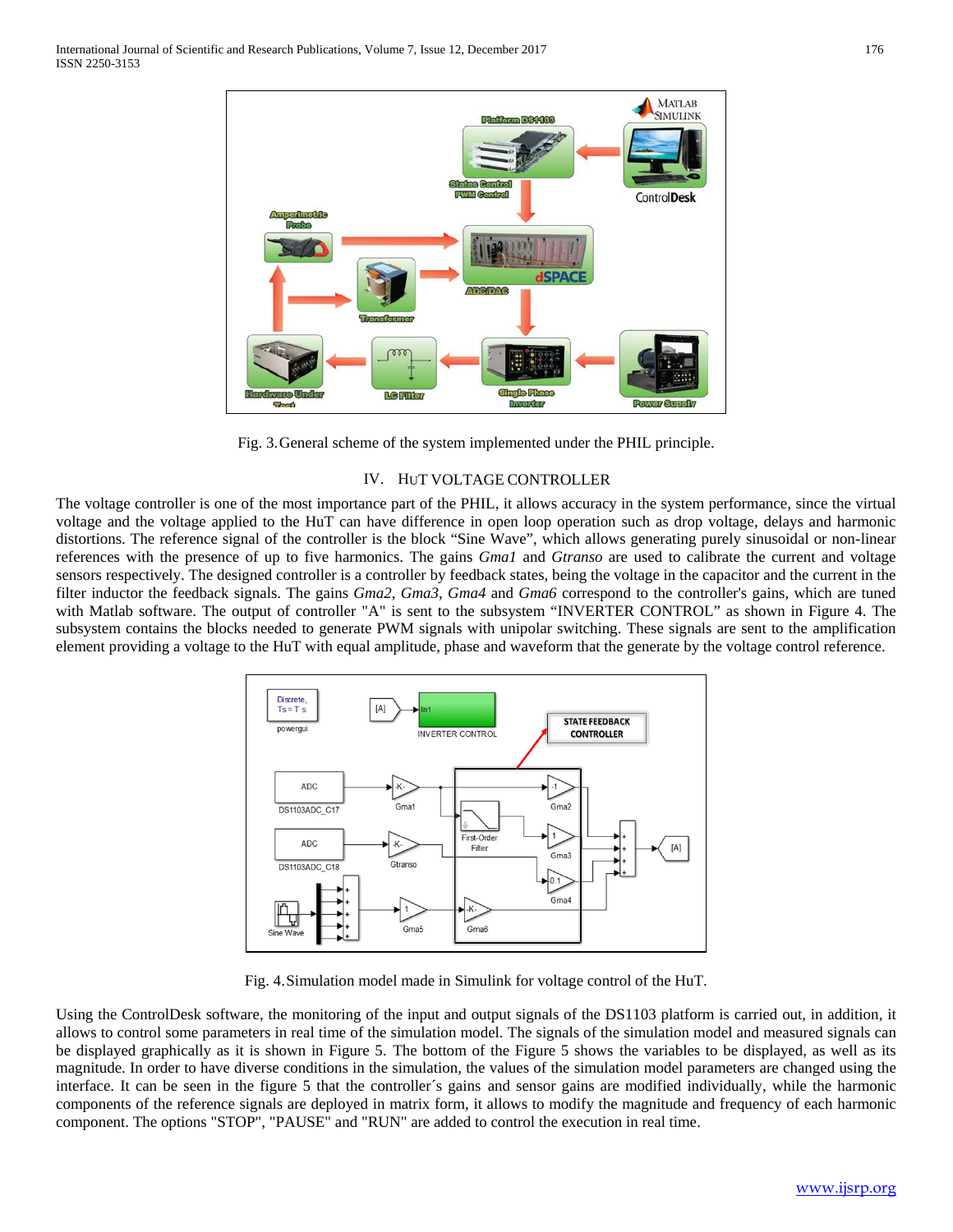

Fig. 3.General scheme of the system implemented under the PHIL principle.

### IV. HUT VOLTAGE CONTROLLER

The voltage controller is one of the most importance part of the PHIL, it allows accuracy in the system performance, since the virtual voltage and the voltage applied to the HuT can have difference in open loop operation such as drop voltage, delays and harmonic distortions. The reference signal of the controller is the block "Sine Wave", which allows generating purely sinusoidal or non-linear references with the presence of up to five harmonics. The gains *Gma1* and *Gtranso* are used to calibrate the current and voltage sensors respectively. The designed controller is a controller by feedback states, being the voltage in the capacitor and the current in the filter inductor the feedback signals. The gains *Gma2*, *Gma3*, *Gma4* and *Gma6* correspond to the controller's gains, which are tuned with Matlab software. The output of controller "A" is sent to the subsystem "INVERTER CONTROL" as shown in Figure 4. The subsystem contains the blocks needed to generate PWM signals with unipolar switching. These signals are sent to the amplification element providing a voltage to the HuT with equal amplitude, phase and waveform that the generate by the voltage control reference.



Fig. 4.Simulation model made in Simulink for voltage control of the HuT.

Using the ControlDesk software, the monitoring of the input and output signals of the DS1103 platform is carried out, in addition, it allows to control some parameters in real time of the simulation model. The signals of the simulation model and measured signals can be displayed graphically as it is shown in Figure 5. The bottom of the Figure 5 shows the variables to be displayed, as well as its magnitude. In order to have diverse conditions in the simulation, the values of the simulation model parameters are changed using the interface. It can be seen in the figure 5 that the controller´s gains and sensor gains are modified individually, while the harmonic components of the reference signals are deployed in matrix form, it allows to modify the magnitude and frequency of each harmonic component. The options "STOP", "PAUSE" and "RUN" are added to control the execution in real time.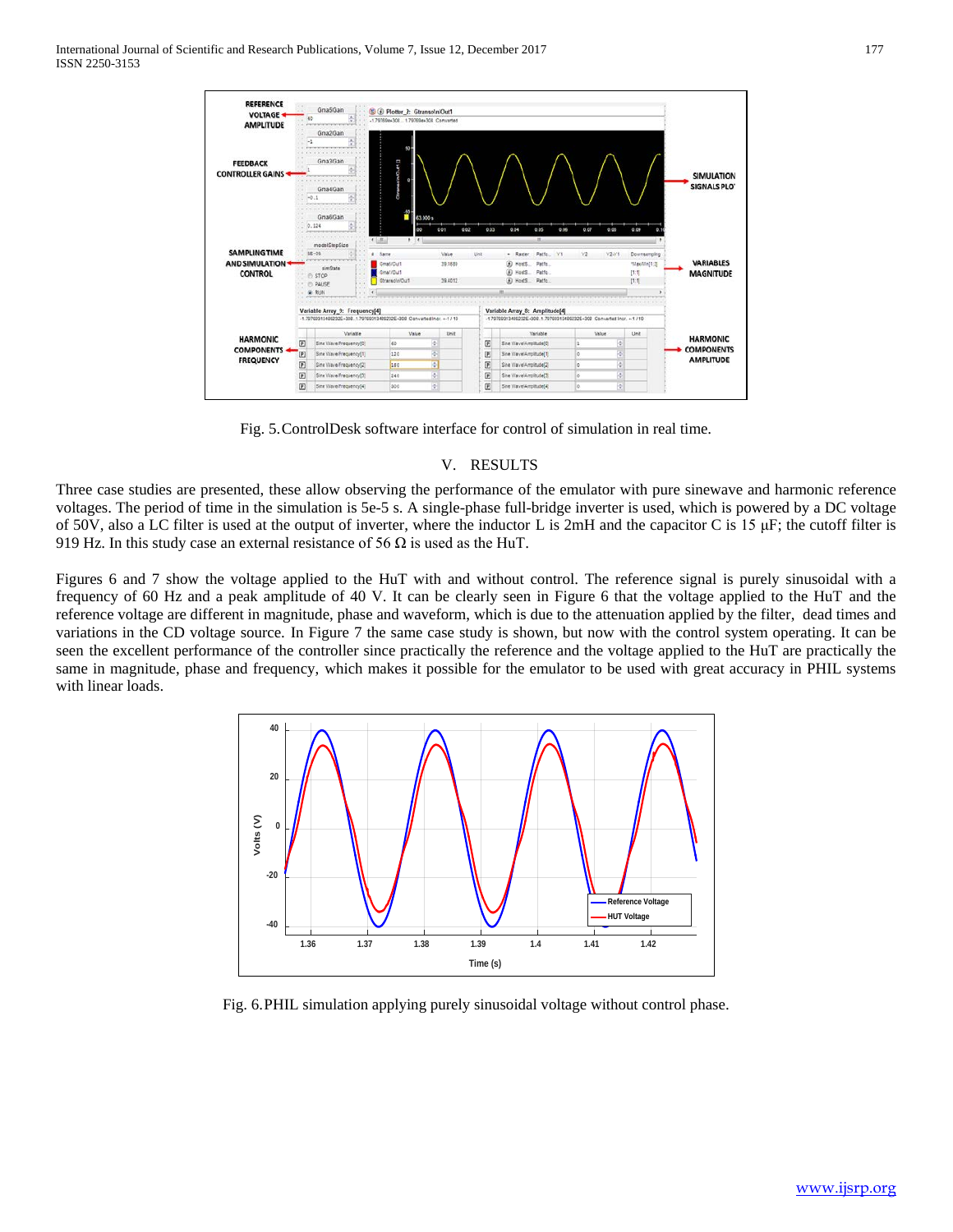

Fig. 5.ControlDesk software interface for control of simulation in real time.

#### V. RESULTS

Three case studies are presented, these allow observing the performance of the emulator with pure sinewave and harmonic reference voltages. The period of time in the simulation is 5e-5 s. A single-phase full-bridge inverter is used, which is powered by a DC voltage of 50V, also a LC filter is used at the output of inverter, where the inductor L is  $2mH$  and the capacitor C is 15  $\mu$ F; the cutoff filter is 919 Hz. In this study case an external resistance of 56  $\Omega$  is used as the HuT.

Figures 6 and 7 show the voltage applied to the HuT with and without control. The reference signal is purely sinusoidal with a frequency of 60 Hz and a peak amplitude of 40 V. It can be clearly seen in Figure 6 that the voltage applied to the HuT and the reference voltage are different in magnitude, phase and waveform, which is due to the attenuation applied by the filter, dead times and variations in the CD voltage source. In Figure 7 the same case study is shown, but now with the control system operating. It can be seen the excellent performance of the controller since practically the reference and the voltage applied to the HuT are practically the same in magnitude, phase and frequency, which makes it possible for the emulator to be used with great accuracy in PHIL systems with linear loads.



Fig. 6.PHIL simulation applying purely sinusoidal voltage without control phase.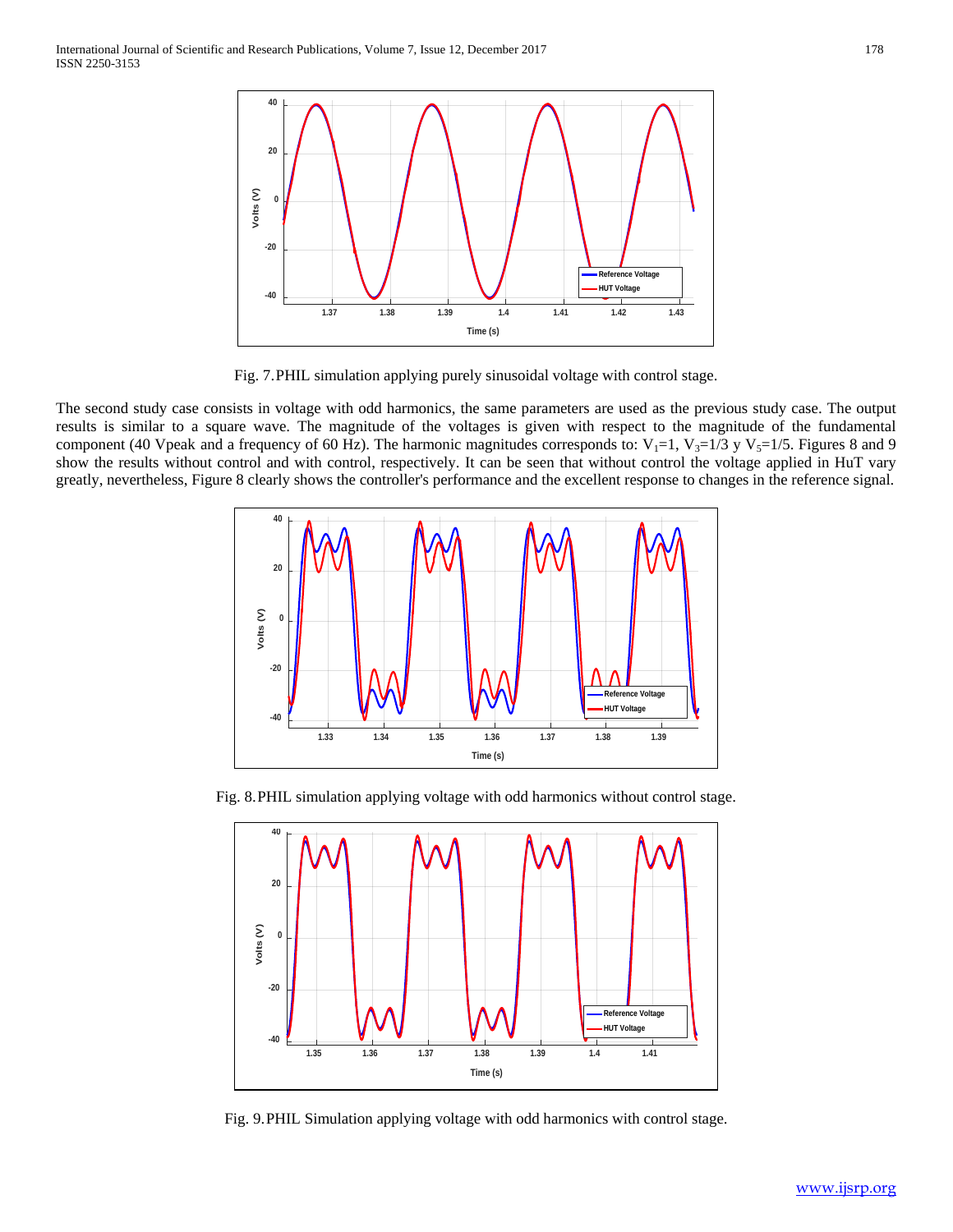

Fig. 7.PHIL simulation applying purely sinusoidal voltage with control stage.

The second study case consists in voltage with odd harmonics, the same parameters are used as the previous study case. The output results is similar to a square wave. The magnitude of the voltages is given with respect to the magnitude of the fundamental component (40 Vpeak and a frequency of 60 Hz). The harmonic magnitudes corresponds to:  $V_1=1$ ,  $V_3=1/3$  y  $V_5=1/5$ . Figures 8 and 9 show the results without control and with control, respectively. It can be seen that without control the voltage applied in HuT vary greatly, nevertheless, Figure 8 clearly shows the controller's performance and the excellent response to changes in the reference signal.



Fig. 8.PHIL simulation applying voltage with odd harmonics without control stage.



Fig. 9.PHIL Simulation applying voltage with odd harmonics with control stage.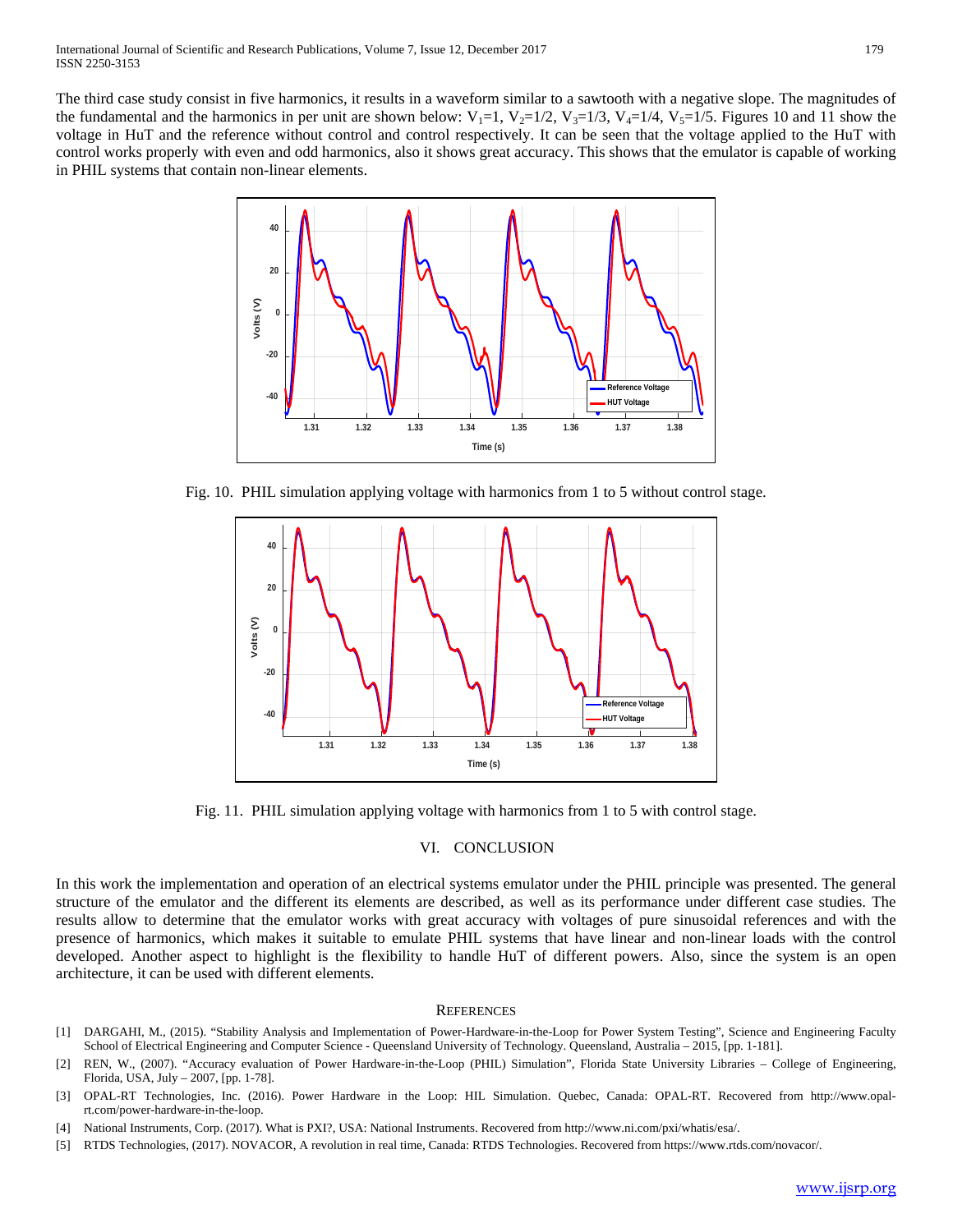

Fig. 10. PHIL simulation applying voltage with harmonics from 1 to 5 without control stage.



Fig. 11. PHIL simulation applying voltage with harmonics from 1 to 5 with control stage.

## VI. CONCLUSION

In this work the implementation and operation of an electrical systems emulator under the PHIL principle was presented. The general structure of the emulator and the different its elements are described, as well as its performance under different case studies. The results allow to determine that the emulator works with great accuracy with voltages of pure sinusoidal references and with the presence of harmonics, which makes it suitable to emulate PHIL systems that have linear and non-linear loads with the control developed. Another aspect to highlight is the flexibility to handle HuT of different powers. Also, since the system is an open architecture, it can be used with different elements.

#### **REFERENCES**

- [1] DARGAHI, M., (2015). "Stability Analysis and Implementation of Power-Hardware-in-the-Loop for Power System Testing", Science and Engineering Faculty School of Electrical Engineering and Computer Science - Queensland University of Technology. Queensland, Australia – 2015, [pp. 1-181].
- [2] REN, W., (2007). "Accuracy evaluation of Power Hardware-in-the-Loop (PHIL) Simulation", Florida State University Libraries College of Engineering, Florida, USA, July – 2007, [pp. 1-78].
- [3] OPAL-RT Technologies, Inc. (2016). Power Hardware in the Loop: HIL Simulation. Quebec, Canada: OPAL-RT. Recovered from http://www.opalrt.com/power-hardware-in-the-loop.
- [4] National Instruments, Corp. (2017). What is PXI?, USA: National Instruments. Recovered from http://www.ni.com/pxi/whatis/esa/.
- [5] RTDS Technologies, (2017). NOVACOR, A revolution in real time, Canada: RTDS Technologies. Recovered from [https://www.rtds.com/novacor/.](https://www.rtds.com/novacor/)